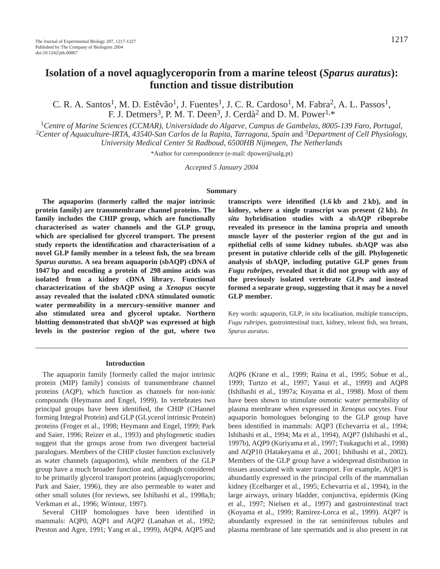# **Isolation of a novel aquaglyceroporin from a marine teleost (***Sparus auratus***): function and tissue distribution**

C. R. A. Santos<sup>1</sup>, M. D. Estêvão<sup>1</sup>, J. Fuentes<sup>1</sup>, J. C. R. Cardoso<sup>1</sup>, M. Fabra<sup>2</sup>, A. L. Passos<sup>1</sup>, F. J. Detmers<sup>3</sup>, P. M. T. Deen<sup>3</sup>, J. Cerdà<sup>2</sup> and D. M. Power<sup>1,\*</sup>

<sup>1</sup>Centre of Marine Sciences (CCMAR), Universidade do Algarve, Campus de Gambelas, 8005-139 Faro, Portugal, <sup>2</sup>Center of Aquaculture-IRTA, 43540-San Carlos de la Rapita, Tarragona, Spain and <sup>3</sup>Department of Cell Physiolo *University Medical Center St Radboud, 6500HB Nijmegen, The Netherlands*

\*Author for correspondence (e-mail: dpower@ualg.pt)

*Accepted 5 January 2004*

#### **Summary**

**The aquaporins (formerly called the major intrinsic protein family) are transmembrane channel proteins. The family includes the CHIP group, which are functionally characterised as water channels and the GLP group, which are specialised for glycerol transport. The present study reports the identification and characterisation of a novel GLP family member in a teleost fish, the sea bream** *Sparus auratus***. A sea bream aquaporin (sbAQP) cDNA of 1047** bp and encoding a protein of 298 amino acids was **isolated from a kidney cDNA library. Functional characterization of the sbAQP using a** *Xenopus* **oocyte assay revealed that the isolated cDNA stimulated osmotic water permeability in a mercury-sensitive manner and also stimulated urea and glycerol uptake. Northern blotting demonstrated that sbAQP was expressed at high levels in the posterior region of the gut, where two**

transcripts were identified  $(1.6 \text{ kb}$  and  $2 \text{ kb}$ ), and in kidney, where a single transcript was present  $(2 k b)$ . *In situ* **hybridisation studies with a sbAQP riboprobe revealed its presence in the lamina propria and smooth muscle layer of the posterior region of the gut and in epithelial cells of some kidney tubules. sbAQP was also present in putative chloride cells of the gill. Phylogenetic analysis of sbAQP, including putative GLP genes from** *Fugu rubripes***, revealed that it did not group with any of the previously isolated vertebrate GLPs and instead formed a separate group, suggesting that it may be a novel GLP member.** 

Key words: aquaporin, GLP, *in situ* localisation, multiple transcripts, *Fugu rubripes*, gastrointestinal tract, kidney, teleost fish, sea bream, *Sparus auratus.*

#### **Introduction**

The aquaporin family [formerly called the major intrinsic protein (MIP) family] consists of transmembrane channel proteins (AQP), which function as channels for non-ionic compounds (Heymann and Engel, 1999). In vertebrates two principal groups have been identified, the CHIP (CHannel forming Integral Protein) and GLP (GLycerol intrinsic Protein) proteins (Froger et al., 1998; Heymann and Engel, 1999; Park and Saier, 1996; Reizer et al., 1993) and phylogenetic studies suggest that the groups arose from two divergent bacterial paralogues. Members of the CHIP cluster function exclusively as water channels (aquaporins), while members of the GLP group have a much broader function and, although considered to be primarily glycerol transport proteins (aquaglyceroporins; Park and Saier, 1996), they are also permeable to water and other small solutes (for reviews, see Ishibashi et al., 1998a,b; Verkman et al., 1996; Wintour, 1997).

Several CHIP homologues have been identified in mammals: AQP0, AQP1 and AQP2 (Lanahan et al., 1992; Preston and Agre, 1991; Yang et al., 1999), AQP4, AQP5 and AQP6 (Krane et al., 1999; Raina et al., 1995; Sobue et al., 1999; Turtzo et al., 1997; Yasui et al., 1999) and AQP8 (Ishibashi et al., 1997a; Koyama et al., 1998). Most of them have been shown to stimulate osmotic water permeability of plasma membrane when expressed in *Xenopus* oocytes. Four aquaporin homologues belonging to the GLP group have been identified in mammals: AQP3 (Echevarria et al., 1994; Ishibashi et al., 1994; Ma et al., 1994), AQP7 (Ishibashi et al., 1997b), AQP9 (Kuriyama et al., 1997; Tsukaguchi et al., 1998) and AQP10 (Hatakeyama et al., 2001; Ishibashi et al., 2002). Members of the GLP group have a widespread distribution in tissues associated with water transport. For example, AQP3 is abundantly expressed in the principal cells of the mammalian kidney (Ecelbarger et al., 1995; Echevarria et al., 1994), in the large airways, urinary bladder, conjunctiva, epidermis (King et al., 1997; Nielsen et al., 1997) and gastrointestinal tract (Koyama et al., 1999; Ramirez-Lorca et al., 1999). AQP7 is abundantly expressed in the rat seminiferous tubules and plasma membrane of late spermatids and is also present in rat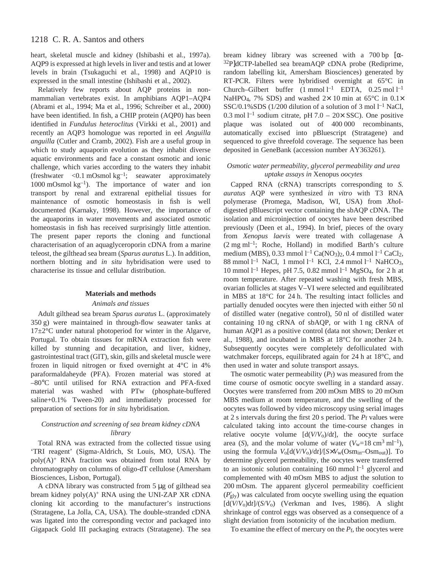heart, skeletal muscle and kidney (Ishibashi et al., 1997a). AQP9 is expressed at high levels in liver and testis and at lower levels in brain (Tsukaguchi et al., 1998) and AQP10 is expressed in the small intestine (Ishibashi et al., 2002).

Relatively few reports about AQP proteins in nonmammalian vertebrates exist. In amphibians AQP1–AQP4 (Abrami et al., 1994; Ma et al., 1996; Schreiber et al., 2000) have been identified. In fish, a CHIP protein (AQP0) has been identified in *Fundulus heteroclitus* (Virkki et al., 2001) and recently an AQP3 homologue was reported in eel *Anguilla anguilla* (Cutler and Cramb, 2002). Fish are a useful group in which to study aquaporin evolution as they inhabit diverse aquatic environments and face a constant osmotic and ionic challenge, which varies according to the waters they inhabit (freshwater <0.1 mOsmol  $kg^{-1}$ ; seawater approximately 1000 mOsmol  $kg^{-1}$ ). The importance of water and ion transport by renal and extrarenal epithelial tissues for maintenance of osmotic homeostasis in fish is well documented (Karnaky, 1998). However, the importance of the aquaporins in water movements and associated osmotic homeostasis in fish has received surprisingly little attention. The present paper reports the cloning and functional characterisation of an aquaglyceroporin cDNA from a marine teleost, the gilthead sea bream (*Sparus auratus* L.). In addition, northern blotting and *in situ* hybridisation were used to characterise its tissue and cellular distribution.

### **Materials and methods**

# *Animals and tissues*

Adult gilthead sea bream *Sparus auratus* L. (approximately  $350 g$ ) were maintained in through-flow seawater tanks at 17±2°C under natural photoperiod for winter in the Algarve, Portugal. To obtain tissues for mRNA extraction fish were killed by stunning and decapitation, and liver, kidney, gastrointestinal tract (GIT), skin, gills and skeletal muscle were frozen in liquid nitrogen or fixed overnight at 4°C in 4% paraformaldaheyde (PFA). Frozen material was stored at –80°C until utilised for RNA extraction and PFA-fixed material was washed with PTw (phosphate-buffered saline+0.1% Tween-20) and immediately processed for preparation of sections for *in situ* hybridisation.

# *Construction and screening of sea bream kidney cDNA library*

Total RNA was extracted from the collected tissue using 'TRI reagent' (Sigma-Aldrich, St Louis, MO, USA). The  $poly(A)^+$  RNA fraction was obtained from total RNA by chromatography on columns of oligo-dT cellulose (Amersham Biosciences, Lisbon, Portugal).

A cDNA library was constructed from  $5 \mu g$  of gilthead sea bream kidney  $poly(A)^+$  RNA using the UNI-ZAP XR cDNA cloning kit according to the manufacturer's instructions (Stratagene, La Jolla, CA, USA). The double-stranded cDNA was ligated into the corresponding vector and packaged into Gigapack Gold III packaging extracts (Stratagene). The sea

bream kidney library was screened with a 700 bp  $\alpha$ -32P]dCTP-labelled sea breamAQP cDNA probe (Rediprime, random labelling kit, Amersham Biosciences) generated by RT-PCR. Filters were hybridised overnight at 65°C in Church–Gilbert buffer  $(1 \text{ mmol } l^{-1} \text{ EDTA}, 0.25 \text{ mol } l^{-1}$ NaHPO<sub>4</sub>, 7% SDS) and washed  $2 \times 10$  min at 65°C in 0.1 $\times$ SSC/0.1%SDS (1/200 dilution of a solution of 3 mol  $l^{-1}$  NaCl, 0.3 mol  $l^{-1}$  sodium citrate, pH 7.0 – 20× SSC). One positive plaque was isolated out of 400000 recombinants, automatically excised into pBluescript (Stratagene) and sequenced to give threefold coverage. The sequence has been deposited in GeneBank (accession number AY363261).

# *Osmotic water permeability, glycerol permeability and urea uptake assays in* Xenopus *oocytes*

Capped RNA (cRNA) transcripts corresponding to *S. auratus* AQP were synthesized *in vitro* with T3 RNA polymerase (Promega, Madison, WI, USA) from *Xho*Idigested pBluescript vector containing the sbAQP cDNA. The isolation and microinjection of oocytes have been described previously (Deen et al., 1994). In brief, pieces of the ovary from *Xenopus laevis* were treated with collagenase A  $(2 \text{ mg ml}^{-1})$ ; Roche, Holland) in modified Barth's culture medium (MBS), 0.33 mmol  $l^{-1}$  Ca(NO<sub>3</sub>)<sub>2</sub>, 0.4 mmol  $l^{-1}$  CaCl<sub>2</sub>, 88 mmol  $l^{-1}$  NaCl, 1 mmol  $l^{-1}$  KCl, 2.4 mmol  $l^{-1}$  NaHCO<sub>3</sub>, 10 mmol<sup>1-1</sup> Hepes, pH 7.5, 0.82 mmol<sup>1-1</sup> MgSO<sub>4</sub>, for 2 h at room temperature. After repeated washing with fresh MBS, ovarian follicles at stages V–VI were selected and equilibrated in MBS at  $18^{\circ}$ C for 24 h. The resulting intact follicles and partially denuded oocytes were then injected with either 50 nl of distilled water (negative control), 50 nl of distilled water containing 10 ng cRNA of sbAQP, or with 1 ng cRNA of human AQP1 as a positive control (data not shown; Denker et al., 1988), and incubated in MBS at  $18^{\circ}$ C for another 24 h. Subsequently oocytes were completely defolliculated with watchmaker forceps, equilibrated again for  $24$  h at  $18^{\circ}$ C, and then used in water and solute transport assays.

The osmotic water permeability  $(P_f)$  was measured from the time course of osmotic oocyte swelling in a standard assay. Oocytes were transferred from 200 mOsm MBS to 20 mOsm MBS medium at room temperature, and the swelling of the oocytes was followed by video microscopy using serial images at 2 s intervals during the first 20 s period. The  $P_f$  values were calculated taking into account the time-course changes in relative oocyte volume [d(*V*/*V*o)/d*t*], the oocyte surface area (*S*), and the molar volume of water ( $V_w=18 \text{ cm}^3 \text{ ml}^{-1}$ ), using the formula  $V_0[d(V/V_0)/dt]/[S \times V_w(\text{Osm}_{in}-\text{Osm}_{out})]$ . To determine glycerol permeability, the oocytes were transferred to an isotonic solution containing  $160$  mmol  $l^{-1}$  glycerol and complemented with 40 mOsm MBS to adjust the solution to 200 mOsm. The apparent glycerol permeability coefficient  $(P'_{glv})$  was calculated from oocyte swelling using the equation  $[d(V/V<sub>0</sub>)dt]/(S/V<sub>0</sub>)$  (Verkman and Ives, 1986). A slight shrinkage of control eggs was observed as a consequence of a slight deviation from isotonicity of the incubation medium.

To examine the effect of mercury on the *P*f, the oocytes were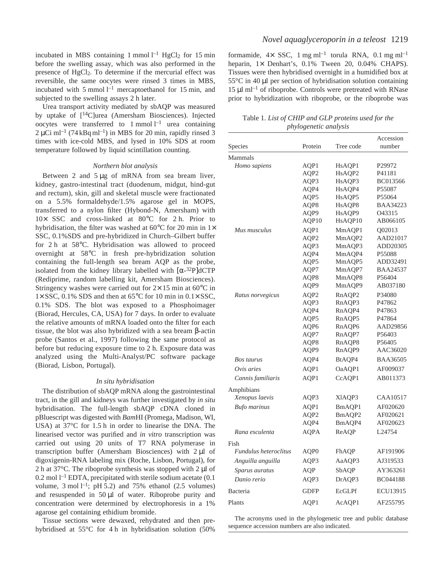incubated in MBS containing 1 mmol  $l^{-1}$  HgCl<sub>2</sub> for 15 min before the swelling assay, which was also performed in the presence of HgCl<sub>2</sub>. To determine if the mercurial effect was reversible, the same oocytes were rinsed 3 times in MBS, incubated with 5 mmol  $l^{-1}$  mercaptoethanol for 15 min, and subjected to the swelling assays 2 h later.

Urea transport activity mediated by sbAQP was measured by uptake of [14C]urea (Amersham Biosciences). Injected oocytes were transferred to  $1 \text{ mmol } l^{-1}$  urea containing  $2 \mu$ Ci ml<sup>-1</sup> (74 kBq ml<sup>-1</sup>) in MBS for 20 min, rapidly rinsed 3 times with ice-cold MBS, and lysed in 10% SDS at room temperature followed by liquid scintillation counting.

### *Northern blot analysis*

Between 2 and  $5 \mu$ g of mRNA from sea bream liver, kidney, gastro-intestinal tract (duodenum, midgut, hind-gut and rectum), skin, gill and skeletal muscle were fractionated on a 5.5% formaldehyde/1.5% agarose gel in MOPS, transferred to a nylon filter (Hybond-N, Amersham) with  $10\times$  SSC and cross-linked at 80 $^{\circ}$ C for 2 h. Prior to hybridisation, the filter was washed at 60 $\degree$ C for 20 min in 1 $\times$ SSC, 0.1%SDS and pre-hybridized in Church–Gilbert buffer for  $2 h$  at  $58^{\circ}$ C. Hybridisation was allowed to proceed overnight at 58°C in fresh pre-hybridization solution containing the full-length sea bream AQP as the probe, isolated from the kidney library labelled with  $\lceil \alpha^{-32}P \rceil dCTP$ (Rediprime, random labelling kit, Amersham Biosciences). Stringency washes were carried out for  $2 \times 15$  min at 60 $^{\circ}$ C in  $1 \times SSC$ , 0.1% SDS and then at 65°C for 10 min in 0.1× SSC, 0.1% SDS. The blot was exposed to a Phosphoimager (Biorad, Hercules, CA, USA) for 7 days. In order to evaluate the relative amounts of mRNA loaded onto the filter for each tissue, the blot was also hybridized with a sea bream β-actin probe (Santos et al., 1997) following the same protocol as before but reducing exposure time to 2 h. Exposure data was analyzed using the Multi-Analyst/PC software package (Biorad, Lisbon, Portugal).

#### *In situ hybridisation*

The distribution of sbAQP mRNA along the gastrointestinal tract, in the gill and kidneys was further investigated by *in situ* hybridisation. The full-length sbAQP cDNA cloned in pBluescript was digested with *Bam*HI (Promega, Madison, WI, USA) at  $37^{\circ}$ C for 1.5 h in order to linearise the DNA. The linearised vector was purified and *in vitro* transcription was carried out using 20 units of T7 RNA polymerase in transcription buffer (Amersham Biosciences) with  $2 \mu l$  of digoxigenin-RNA labeling mix (Roche, Lisbon, Portugal), for 2 h at  $37^{\circ}$ C. The riboprobe synthesis was stopped with 2 µl of  $0.2$  mol  $l<sup>-1</sup>$  EDTA, precipitated with sterile sodium acetate (0.1) volume,  $3 \text{ mol } l^{-1}$ ; pH 5.2) and 75% ethanol (2.5 volumes) and resuspended in  $50 \mu l$  of water. Riboprobe purity and concentration were determined by electrophoresis in a 1% agarose gel containing ethidium bromide.

Tissue sections were dewaxed, rehydrated and then prehybridised at  $55^{\circ}$ C for 4 h in hybridisation solution (50%)

formamide,  $4 \times$  SSC, 1 mg ml<sup>-1</sup> torula RNA, 0.1 mg ml<sup>-1</sup> heparin,  $1 \times$  Denhart's, 0.1% Tween 20, 0.04% CHAPS). Tissues were then hybridised overnight in a humidified box at  $55^{\circ}$ C in 40 µl per section of hybridisation solution containing  $15 \mu I$  ml<sup>-1</sup> of riboprobe. Controls were pretreated with RNase prior to hybridization with riboprobe, or the riboprobe was

Table 1. *List of CHIP and GLP proteins used for the phylogenetic analysis* 

|                              |             |                    | Accession       |
|------------------------------|-------------|--------------------|-----------------|
| Species                      | Protein     | Tree code          | number          |
| Mammals                      |             |                    |                 |
| Homo sapiens                 | AQP1        | HsAQP1             | P29972          |
|                              | AQP2        | HsAQP2             | P41181          |
|                              | AQP3        | HsAQP3             | <b>BC013566</b> |
|                              | AQP4        | HsAQP4             | P55087          |
|                              | AQP5        | HsAQP5             | P55064          |
|                              | AQP8        | HsAQP8             | <b>BAA34223</b> |
|                              | AQP9        | HsAQP9             | O43315          |
|                              | AQP10       | HsAQP10            | AB066105        |
| Mus musculus                 | AQP1        | MmAQP1             | O02013          |
|                              | AQP2        | MmAQP2             | AAD21017        |
|                              | AQP3        | MmAQP3             | ADD20305        |
|                              | AQP4        | MmAQP4             | P55088          |
|                              | AQP5        | MmAQP5             | ADD32491        |
|                              | AQP7        | MmAQP7             | <b>BAA24537</b> |
|                              | AQP8        | MmAQP8             | P56404          |
|                              | AQP9        | MmAQP9             | AB037180        |
| Ratus norvegicus             | AQP2        | RnAQP2             | P34080          |
|                              | AQP3        | RnAQP3             | P47862          |
|                              | AQP4        | RnAQP4             | P47863          |
|                              | AQP5        | RnAQP5             | P47864          |
|                              | AQP6        | RnAQP6             | AAD29856        |
|                              | AQP7        | RnAQP7             | P56403          |
|                              | AQP8        | RnAQP8             | P56405          |
|                              | AQP9        | RnAQP9             | AAC36020        |
| Bos taurus                   | AQP4        | BtAQP4             | <b>BAA36505</b> |
| Ovis aries                   | AQP1        | OaAQP1             | AF009037        |
| Cannis familiaris            | AQP1        | CcAQP1             | AB011373        |
| Amphibians                   |             |                    |                 |
| Xenopus laevis               | AQP3        | XIAQP3             | CAA10517        |
| <b>Bufo</b> marinus          | AQP1        | BmAQP1             | AF020620        |
|                              | AQP2        | BmAOP <sub>2</sub> | AF020621        |
|                              | AQP4        | BmAQP4             | AF020623        |
| Rana esculenta               | <b>AQPA</b> | ReAQP              | L24754          |
| Fish                         |             |                    |                 |
| <b>Fundulus</b> heteroclitus | AQP0        | FhAQP              | AF191906        |
| Anguilla anguilla            | AQP3        | AaAQP3             | AJ319533        |
| Sparus auratus               | <b>AQP</b>  | SbAQP              | AY363261        |
| Danio rerio                  | AQP3        | DrAQP3             | BC044188        |
| Bacteria                     | <b>GDFP</b> | EcGLPf             | <b>ECU13915</b> |
|                              |             |                    |                 |
| Plants                       | AQP1        | AcAQP1             | AF255795        |

The acronyms used in the phylogenetic tree and public database sequence accession numbers are also indicated.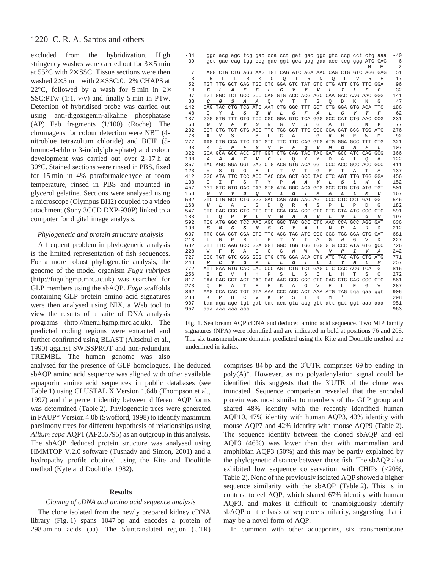excluded from the hybridization. High stringency washes were carried out for  $3 \times 5$  min at  $55^{\circ}$ C with  $2 \times$  SSC. Tissue sections were then washed  $2\times 5$  min with  $2\times$  SSC:0.12% CHAPS at 22 $\degree$ C, followed by a wash for 5 min in 2 $\times$ SSC:PTw  $(1:1, v/v)$  and finally 5 min in PTw. Detection of hybridised probe was carried out using anti-digoxigenin-alkaline phosphatase (AP) Fab fragments (1/100) (Roche). The chromagens for colour detection were NBT (4 nitroblue tetrazolium chloride) and BCIP (5 bromo-4-chloro 3-indolylphosphate) and colour development was carried out over  $2-17$  h at 30°C. Stained sections were rinsed in PBS, fixed for 15 min in 4% paraformaldehyde at room temperature, rinsed in PBS and mounted in glycerol gelatine. Sections were analysed using a microscope (Olympus BH2) coupled to a video attachment (Sony 3CCD DXP-930P) linked to a computer for digital image analysis.

### *Phylogenetic and protein structure analysis*

A frequent problem in phylogenetic analysis is the limited representation of fish sequences. For a more robust phylogenetic analysis, the genome of the model organism *Fugu rubripes* (http://fugu.hgmp.mrc.ac.uk) was searched for GLP members using the sbAQP. *Fugu* scaffolds containing GLP protein amino acid signatures were then analysed using NIX, a Web tool to view the results of a suite of DNA analysis programs (http://menu.hgmp.mrc.ac.uk). The predicted coding regions were extracted and further confirmed using BLAST (Altschul et al., 1990) against SWISSPROT and non-redundant TREMBL. The human genome was also

analysed for the presence of GLP homologues. The deduced sbAQP amino acid sequence was aligned with other available aquaporin amino acid sequences in public databases (see Table 1) using CLUSTAL X Version 1.64b (Thompson et al., 1997) and the percent identity between different AQP forms was determined (Table 2). Phylogenetic trees were generated in PAUP\* Version 4.0b (Swofford, 1998) to identify maximum parsimony trees for different hypothesis of relationships using *Allium cepa* AQP1 (AF255795) as an outgroup in this analysis. The sbAQP deduced protein structure was analysed using HMMTOP V.2.0 software (Tusnady and Simon, 2001) and a hydropathy profile obtained using the Kite and Doolittle method (Kyte and Doolittle, 1982).

# **Results**

# *Cloning of cDNA and amino acid sequence analysis*

The clone isolated from the newly prepared kidney cDNA library (Fig. 1) spans 1047 bp and encodes a protein of 298 amino acids (aa). The 5'untranslated region (UTR)

| -84<br>$-39$ |                  |              | gge aeg age teg gae eea eet gat gae gge gte eeg eet etg aaa<br>gct gac cag tgg ccg gac ggt gca gag gaa acc tcg ggg ATG GAG |            |     |                                         |            |                                 |                     |     |            |                         |             |                |            | $-40$<br>6 |
|--------------|------------------|--------------|----------------------------------------------------------------------------------------------------------------------------|------------|-----|-----------------------------------------|------------|---------------------------------|---------------------|-----|------------|-------------------------|-------------|----------------|------------|------------|
|              |                  |              |                                                                                                                            |            |     |                                         |            |                                 |                     |     |            |                         |             | M              | E          | 2          |
| 7            |                  |              | AGG CTG CTG AGG AAG TGT CAG ATC AGA AAC CAG CTG GTC AGG GAG                                                                |            |     |                                         |            |                                 |                     |     |            |                         |             |                |            | 51         |
| 3            | R                | T.           | T.                                                                                                                         | R          | К   | C                                       | O          | T                               | R                   | Ν   | O          | T.                      | V           | R              | F.         | 17         |
| 52           |                  |              | TGT TTG GCT GAG TGC CTC GGA GTC TAT GTC CTG ATT CTG TTC GGA                                                                |            |     |                                         |            |                                 |                     |     |            |                         |             |                |            | 96         |
| 18           | с                | L            | A                                                                                                                          | E          | С   | L                                       | G          | v                               | Y                   | v   | L          | I                       | L           | F              | G          | 32         |
| 97           | TGT              | GGC          |                                                                                                                            |            |     | TCT GCC GCC CAG GTG ACC ACG AGC         |            |                                 |                     |     |            | CAA GAC AAG AAC         |             |                | GGG        | 141        |
| 33           | $\boldsymbol{C}$ | G            | S                                                                                                                          | А          | А   | O                                       | V          | Т                               | Т                   | S   | O          | D                       | K           | N              | G          | 47         |
| 142          |                  | CAG TAC      | CTG                                                                                                                        |            |     | TCG ATC AAT CTG GGC                     |            |                                 | <b>TTT</b>          | GCT |            | CTG GGA GTG ACA         |             |                | <b>TTC</b> | 186        |
| 48           | O                | Υ            | L                                                                                                                          | S          | I   | N                                       | L          | G                               | F                   | А   | L          | G                       | v           | Т              | F          | 62         |
| 187          |                  | GGG GTG      | <b>TTT</b>                                                                                                                 |            |     | GTG TCC CGC GGA GTC                     |            |                                 | TCA GGG             |     | GCC        | CAT                     |             | CTG AAC        | CCG        | 231        |
| 63           | G                | $\mathbf{v}$ | F                                                                                                                          | v          | S   | R                                       | G          | V                               | S                   | G   | Α          | Η                       | L.          | N              | P          | 77         |
| 232          | GCT              | GTG          | <b>TCT</b>                                                                                                                 | <b>CTG</b> | AGC | <b>TTG</b>                              | <b>TGC</b> | GCT                             | TTG                 | GGC | CGA CAT    |                         | CCC.        | <b>TGG</b>     | <b>ATG</b> | 276        |
| 78           | A                | V            | S                                                                                                                          | T.         | S   | T.                                      | C          | Α                               | T.                  | G   | R          | H                       | P           | W              | М          | 92         |
| 277          |                  | AAG CTG      | CCA TTC                                                                                                                    |            | TAC | <b>GTC</b>                              | <b>TTC</b> | <b>TTC</b>                      | CAG GTG ATG GGA GCC |     |            |                         |             | TTT            | <b>CTG</b> | 321        |
| 93           | Κ                | L            | P                                                                                                                          | F          | Υ   | v                                       | F          | F                               | ο                   | V   | M          | G                       | A           | F              | L          | 107        |
| 322          |                  |              | GCA GCA GCC ACC GTT GGT CTG CAG TAC TAC                                                                                    |            |     |                                         |            |                                 |                     |     |            | GAT GCC ATC             |             | CAG GCG        |            | 366        |
| 108          | А                | А            | A                                                                                                                          | T          | v   | G                                       | L          | Q                               | Υ                   | Υ   | D          | A                       | I           | O              | Α          | 122        |
| 367          | TAC              | AGC          | GGA GGT                                                                                                                    |            | GAG | CTG ACG GTG ACA GGT                     |            |                                 |                     |     | CCC        | ACC GCC ACC             |             |                | GCC        | 411        |
| 123          | Υ                | S            | G                                                                                                                          | G          | E   | L                                       | т          | $\overline{V}$                  | т                   | G   | P          | т                       | Α           | Т              | Α          | 137        |
| 412          | GGC.             | ATA          | <b>TTC</b>                                                                                                                 | TCC ACC    |     | <b>TAC</b>                              | CCA GCT    |                                 | GCC                 | TAC | <b>CTC</b> | AGT                     | <b>TTG</b>  | <b>TGG</b>     | GGA        | 456        |
| 138          | G                | Т            | F                                                                                                                          | S          | т   | Υ                                       | Ρ          | А                               | А                   | Υ   | L          | S                       | L           | w              | G          | 152        |
| 457          | GGT              |              | GTC GTG GAC CAG GTG ATA GGC ACA GCG GCC CTG CTG ATG                                                                        |            |     |                                         |            |                                 |                     |     |            |                         |             |                | <b>TGT</b> | 501        |
| 153          | G                | v            | v                                                                                                                          | D          | Q   | v                                       | I          | G                               | т                   | А   | А          | L                       | L           | M              | С          | 167        |
| 502          |                  | GTC CTG GCT  |                                                                                                                            |            |     | CTG GGG GAC CAG AGG AAC AGT             |            |                                 |                     |     |            | CCC CTC                 | <b>CCT</b>  | GAT            | GGT        | 546        |
| 168          | v                | L            | Α                                                                                                                          | L          | G   | D                                       | O          | R                               | N                   | S   | P          | L                       | $\mathbb P$ | D              | G          | 182        |
| 547          | CTG.             | CAG          | CCG                                                                                                                        |            |     | GTC CTG GTG GGA GCA GCC GTG CTG GTA ATC |            |                                 |                     |     |            |                         |             | GGC            | <b>GTC</b> | 591        |
| 183          | L                | Ο            | Ρ                                                                                                                          | v          | L   | v                                       | G          | А                               | А                   | v   | L          | v                       | I           | G              | v          | 197        |
| 592          |                  | TCG ATG GGC  |                                                                                                                            |            |     | TCC AAC AGC GGC                         |            | TAC GCC CTC                     |                     |     | AAC        | CCA GCC                 |             | AGG            | <b>GAT</b> | 636        |
| 198          | S                | M            | G                                                                                                                          | S          | N   | $\boldsymbol{S}$                        | G          | Υ                               | А                   | L   | N          | P                       | A           | R              | D          | 212        |
| 637          |                  | TTG GGA      | <b>CCT</b>                                                                                                                 | CGA        | CTG | TTC ACG                                 |            | TAC ATC GCC GGC                 |                     |     |            | TGG GGA GTG GAT         |             |                |            | 681        |
| 213          | т.               | G            | P                                                                                                                          | R          | L   | F                                       | т          | Y                               | I                   | Α   | G          | W                       | G           | $\overline{V}$ | D          | 227        |
| 682          | GTT              |              | TTC AAG GCC GGA GGT GGC                                                                                                    |            |     |                                         |            | TGG TGG TGG GTG CCC ATA GTG GCC |                     |     |            |                         |             |                |            | 726        |
| 228          | V                | F            | К                                                                                                                          | A          | G   | G                                       | G          | W                               | W                   | W   | v          | P                       | I           | v              | А          | 242        |
| 727          | CCC              | TGT          | GTC                                                                                                                        |            |     | GGG GCG CTG CTG GGA ACA CTG ATC         |            |                                 |                     |     |            | TAC                     | ATG         | CTG            | <b>ATG</b> | 771        |
| 243          | P                | C            | V                                                                                                                          | G          | А   | L                                       | L          | G                               | т                   | L   | I          | Y                       | M           | L              | M          | 257        |
| 772          | ATT              | GAA          | <b>GTG</b>                                                                                                                 | CAC        | CAC | CCC AGT                                 |            | <b>CTG</b>                      | <b>TCT</b>          | GAG | <b>CTC</b> | CAC                     | ACG         | <b>TCA</b>     | <b>TGT</b> | 816        |
| 256          | I                | E            | V                                                                                                                          | Η          | Η   | P                                       | S          | L                               | S                   | E   | L          | Η                       | т           | S              | C          | 272        |
| 817          |                  |              | CAA GAG GCT ACT GAG GAG AAG GCG GGG GTG GAG CTG GAG GGG GTG                                                                |            |     |                                         |            |                                 |                     |     |            |                         |             |                |            | 861        |
| 273          | O                | F.           | A                                                                                                                          | т          | E   | E                                       | K          | Α                               | G                   | V   | E          | L                       | F.          | G              | V          | 287        |
| 862          |                  | AAG CCA CAC  |                                                                                                                            | TGT        |     | GTA AAA CCC AGC ACT                     |            |                                 |                     |     |            | AAA ATG TAG tga gaa ggt |             |                |            | 906        |
| 288          | К                | $\mathsf{P}$ | H                                                                                                                          | C          | V   | K                                       | P          | S                               | т                   | K   | M          | *                       |             |                |            | 298        |
| 907          |                  |              | taa aga agc tgt gat tat aca gta aag gtt att gat ggt aaa aaa                                                                |            |     |                                         |            |                                 |                     |     |            |                         |             |                |            | 951        |
| 952          |                  |              | aaa aaa aaa aaa                                                                                                            |            |     |                                         |            |                                 |                     |     |            |                         |             |                |            | 963        |

Fig. 1. Sea bream AQP cDNA and deduced amino acid sequence. Two MIP family signatures (NPA) were identified and are indicated in bold at positions 76 and 208. The six transmembrane domains predicted using the Kite and Doolittle method are underlined in italics.

> comprises 84 bp and the 3<sup>'</sup>UTR comprises 69 bp ending in poly(A)+. However, as no polyadenylation signal could be identified this suggests that the 3′UTR of the clone was truncated. Sequence comparison revealed that the encoded protein was most similar to members of the GLP group and shared 48% identity with the recently identified human AQP10, 47% identity with human AQP3, 43% identity with mouse AQP7 and 42% identity with mouse AQP9 (Table 2). The sequence identity between the cloned sbAQP and eel AQP3 (46%) was lower than that with mammalian and amphibian AQP3 (50%) and this may be partly explained by the phylogenetic distance between these fish. The sbAQP also exhibited low sequence conservation with CHIPs (<20%, Table 2). None of the previously isolated AQP showed a higher sequence similarity with the sbAQP (Table 2). This is in contrast to eel AQP, which shared 67% identity with human AQP3, and makes it difficult to unambiguously identify sbAQP on the basis of sequence similarity, suggesting that it may be a novel form of AQP.

In common with other aquaporins, six transmembrane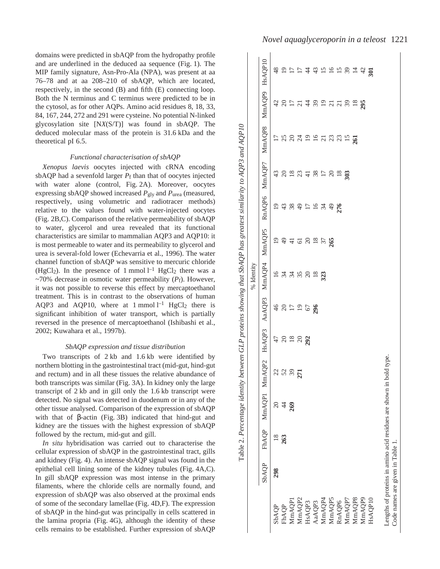domains were predicted in sbAQP from the hydropathy profile and are underlined in the deduced aa sequence (Fig. 1). The MIP family signature, Asn-Pro-Ala (NPA), was present at aa 76–78 and at aa 208–210 of sbAQP, which are located, respectively, in the second (B) and fifth (E) connecting loop. Both the N terminus and C terminus were predicted to be in the cytosol, as for other AQPs. Amino acid residues 8, 18, 33, 84, 167, 244, 272 and 291 were cysteine. No potential N-linked glycosylation site [N*X*(S/T)] was found in sbAQP. The deduced molecular mass of the protein is 31.6 kDa and the theoretical pI 6.5.

### *Functional characterisation of sbAQP*

*Xenopus laevis* oocytes injected with cRNA encoding sbAQP had a sevenfold larger  $P_f$  than that of oocytes injected with water alone (control, Fig. 2A). Moreover, oocytes expressing sbAQP showed increased *P*gly and *P*urea (measured, respectively, using volumetric and radiotracer methods) relative to the values found with water-injected oocytes  $(Fig. 2B, C)$ . Comparison of the relative permeability of sbAQP to water, glycerol and urea revealed that its functional characteristics are similar to mammalian AQP3 and AQP10: it is most permeable to water and its permeability to glycerol and urea is several-fold lower (Echevarria et al., 1996). The water channel function of sbAQP was sensitive to mercuric chloride (HgCl<sub>2</sub>). In the presence of 1 mmol  $l^{-1}$  HgCl<sub>2</sub> there was a  $~\sim$ 70% decrease in osmotic water permeability ( $P_f$ ). However, it was not possible to reverse this effect by mercaptoethanol treatment. This is in contrast to the observations of human AQP3 and AQP10, where at  $1 \text{ mmol } 1^{-1}$  HgCl<sub>2</sub> there is significant inhibition of water transport, which is partially reversed in the presence of mercaptoethanol (Ishibashi et al., 2002; Kuwahara et al., 1997b).

### *SbAQP expression and tissue distribution*

Two transcripts of  $2 \text{ kb}$  and  $1.6 \text{ kb}$  were identified by northern blotting in the gastrointestinal tract (mid-gut, hind-gut and rectum) and in all these tissues the relative abundance of both transcripts was similar (Fig. 3A). In kidney only the large transcript of  $2 \text{ kb}$  and in gill only the 1.6 kb transcript were detected. No signal was detected in duodenum or in any of the other tissue analysed. Comparison of the expression of sbAQP with that of  $\beta$ -actin (Fig. 3B) indicated that hind-gut and kidney are the tissues with the highest expression of sbAQP followed by the rectum, mid-gut and gill.

*In situ* hybridisation was carried out to characterise the cellular expression of sbAQP in the gastrointestinal tract, gills and kidney (Fig. 4). An intense sbAQP signal was found in the epithelial cell lining some of the kidney tubules (Fig. 4A,C). In gill sbAQP expression was most intense in the primary filaments, where the chloride cells are normally found, and expression of sbAQP was also observed at the proximal ends of some of the secondary lamellae (Fig.·4D,F). The expression of sbAQP in the hind-gut was principally in cells scattered in the lamina propria (Fig. 4G), although the identity of these cells remains to be established. Further expression of sbAQP

| MmAQP8 MmAQP9 HsAQP10<br>$\ddot{4}$<br>$\frac{4}{3}$<br>15<br>$\overline{16}$<br>15<br>$\overline{\mathcal{E}}$<br>$\overline{4}$<br>$\overline{301}$<br>42<br>$\ddot{4}$<br>39<br>$\Omega$<br>$\frac{17}{21}$<br>39<br>295<br>$\frac{1}{2}$<br>$\frac{8}{18}$<br>$\Omega$<br>$\overline{c}$<br>$\overline{19}$<br>25<br>$\overline{16}$<br>23<br>$\overline{c}$<br>$\overline{5}$<br>$\overline{5}$<br>RnAQP6 MmAQP7<br>43<br>$\frac{8}{18}$<br>38<br>$\Omega$<br>23<br>$\overline{17}$<br>$\overline{c}$<br>$\overline{4}$<br>$\frac{8}{18}$<br>303<br>$\overline{19}$<br>384<br>43<br>$\overline{17}$<br>$16 \frac{3}{4}$<br>$\overline{4}$<br>276<br>MmAQP4 MmAQP5<br>$^{19}$<br>$\frac{20}{18}$<br>$61$<br>$\overline{\mathcal{E}}$<br>265<br>$\frac{1}{4}$<br>$\overline{16}$<br>3480<br>34<br>$\frac{8}{18}$<br>323<br>AaAQP3<br>46<br>$\begin{array}{c} 20 \\ 21 \\ 22 \end{array}$<br>$67\,$<br>296<br>HsAQP3<br>47<br>$\frac{20}{18}$<br>$\overline{c}$<br>292<br>MmAQP1 MmAQP2<br>22<br>271<br>5<br>$\tilde{\epsilon}$<br>$\overline{c}$<br>269<br>FhAQP<br>$\frac{8}{18}$<br>263<br><b>SbAQP</b><br>298<br>MmAQP2<br>MmAQP8<br>MmAQP9<br>HsAQP10<br>MmAQP5<br>MmAQP7<br>MmAQP4<br>MmAQP1<br>RnAQP6<br>AaAQP3<br>HsAQP3<br>FhAQP<br>SbAQP |                                                                                                       | % Identity |  |  |  |
|------------------------------------------------------------------------------------------------------------------------------------------------------------------------------------------------------------------------------------------------------------------------------------------------------------------------------------------------------------------------------------------------------------------------------------------------------------------------------------------------------------------------------------------------------------------------------------------------------------------------------------------------------------------------------------------------------------------------------------------------------------------------------------------------------------------------------------------------------------------------------------------------------------------------------------------------------------------------------------------------------------------------------------------------------------------------------------------------------------------------------------------------------------------------------------------------------------------------------------------------------|-------------------------------------------------------------------------------------------------------|------------|--|--|--|
|                                                                                                                                                                                                                                                                                                                                                                                                                                                                                                                                                                                                                                                                                                                                                                                                                                                                                                                                                                                                                                                                                                                                                                                                                                                      |                                                                                                       |            |  |  |  |
|                                                                                                                                                                                                                                                                                                                                                                                                                                                                                                                                                                                                                                                                                                                                                                                                                                                                                                                                                                                                                                                                                                                                                                                                                                                      |                                                                                                       |            |  |  |  |
|                                                                                                                                                                                                                                                                                                                                                                                                                                                                                                                                                                                                                                                                                                                                                                                                                                                                                                                                                                                                                                                                                                                                                                                                                                                      |                                                                                                       |            |  |  |  |
|                                                                                                                                                                                                                                                                                                                                                                                                                                                                                                                                                                                                                                                                                                                                                                                                                                                                                                                                                                                                                                                                                                                                                                                                                                                      |                                                                                                       |            |  |  |  |
|                                                                                                                                                                                                                                                                                                                                                                                                                                                                                                                                                                                                                                                                                                                                                                                                                                                                                                                                                                                                                                                                                                                                                                                                                                                      |                                                                                                       |            |  |  |  |
|                                                                                                                                                                                                                                                                                                                                                                                                                                                                                                                                                                                                                                                                                                                                                                                                                                                                                                                                                                                                                                                                                                                                                                                                                                                      |                                                                                                       |            |  |  |  |
|                                                                                                                                                                                                                                                                                                                                                                                                                                                                                                                                                                                                                                                                                                                                                                                                                                                                                                                                                                                                                                                                                                                                                                                                                                                      |                                                                                                       |            |  |  |  |
|                                                                                                                                                                                                                                                                                                                                                                                                                                                                                                                                                                                                                                                                                                                                                                                                                                                                                                                                                                                                                                                                                                                                                                                                                                                      |                                                                                                       |            |  |  |  |
|                                                                                                                                                                                                                                                                                                                                                                                                                                                                                                                                                                                                                                                                                                                                                                                                                                                                                                                                                                                                                                                                                                                                                                                                                                                      |                                                                                                       |            |  |  |  |
|                                                                                                                                                                                                                                                                                                                                                                                                                                                                                                                                                                                                                                                                                                                                                                                                                                                                                                                                                                                                                                                                                                                                                                                                                                                      |                                                                                                       |            |  |  |  |
|                                                                                                                                                                                                                                                                                                                                                                                                                                                                                                                                                                                                                                                                                                                                                                                                                                                                                                                                                                                                                                                                                                                                                                                                                                                      |                                                                                                       |            |  |  |  |
|                                                                                                                                                                                                                                                                                                                                                                                                                                                                                                                                                                                                                                                                                                                                                                                                                                                                                                                                                                                                                                                                                                                                                                                                                                                      |                                                                                                       |            |  |  |  |
|                                                                                                                                                                                                                                                                                                                                                                                                                                                                                                                                                                                                                                                                                                                                                                                                                                                                                                                                                                                                                                                                                                                                                                                                                                                      |                                                                                                       |            |  |  |  |
|                                                                                                                                                                                                                                                                                                                                                                                                                                                                                                                                                                                                                                                                                                                                                                                                                                                                                                                                                                                                                                                                                                                                                                                                                                                      |                                                                                                       |            |  |  |  |
|                                                                                                                                                                                                                                                                                                                                                                                                                                                                                                                                                                                                                                                                                                                                                                                                                                                                                                                                                                                                                                                                                                                                                                                                                                                      | Lengths of proteins in amino acid residues are shown in bold type.<br>Code names are given in Table 1 |            |  |  |  |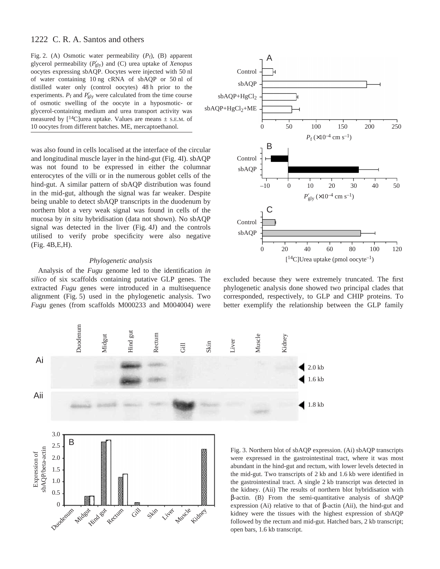Fig. 2. (A) Osmotic water permeability ( $P_f$ ), (B) apparent glycerol permeability ( $P'_{gly}$ ) and (C) urea uptake of *Xenopus* oocytes expressing sbAQP. Oocytes were injected with 50·nl of water containing 10 ng cRNA of sbAQP or 50 nl of distilled water only (control oocytes) 48 h prior to the experiments.  $P_f$  and  $P'_{gly}$  were calculated from the time course of osmotic swelling of the oocyte in a hyposmotic- or glycerol-containing medium and urea transport activity was measured by  $[14C]$ urea uptake. Values are means  $\pm$  s.e.m. of 10 oocytes from different batches. ME, mercaptoethanol.

was also found in cells localised at the interface of the circular and longitudinal muscle layer in the hind-gut (Fig. 4I). sbAQP was not found to be expressed in either the columnar enterocytes of the villi or in the numerous goblet cells of the hind-gut. A similar pattern of sbAQP distribution was found in the mid-gut, although the signal was far weaker. Despite being unable to detect sbAQP transcripts in the duodenum by northern blot a very weak signal was found in cells of the mucosa by *in situ* hybridisation (data not shown). No sbAQP signal was detected in the liver (Fig. 4J) and the controls utilised to verify probe specificity were also negative (Fig. 4B,E,H).

# *Phylogenetic analysis*

Analysis of the *Fugu* genome led to the identification *in silico* of six scaffolds containing putative GLP genes. The extracted *Fugu* genes were introduced in a multisequence alignment (Fig. 5) used in the phylogenetic analysis. Two *Fugu* genes (from scaffolds M000233 and M004004) were



excluded because they were extremely truncated. The first phylogenetic analysis done showed two principal clades that corresponded, respectively, to GLP and CHIP proteins. To better exemplify the relationship between the GLP family



Fig. 3. Northern blot of sbAQP expression. (Ai) sbAQP transcripts were expressed in the gastrointestinal tract, where it was most abundant in the hind-gut and rectum, with lower levels detected in the mid-gut. Two transcripts of 2 kb and 1.6 kb were identified in the gastrointestinal tract. A single 2 kb transcript was detected in the kidney. (Aii) The results of northern blot hybridisation with β-actin. (B) From the semi-quantitative analysis of sbAQP expression (Ai) relative to that of β-actin (Aii), the hind-gut and kidney were the tissues with the highest expression of sbAQP followed by the rectum and mid-gut. Hatched bars, 2 kb transcript; open bars, 1.6 kb transcript.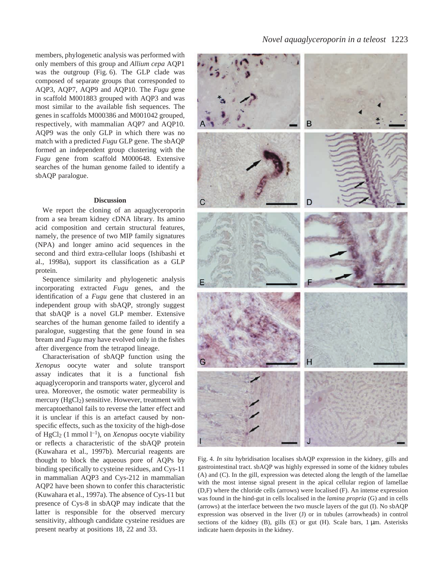members, phylogenetic analysis was performed with only members of this group and *Allium cepa* AQP1 was the outgroup (Fig. 6). The GLP clade was composed of separate groups that corresponded to AQP3, AQP7, AQP9 and AQP10. The *Fugu* gene in scaffold M001883 grouped with AQP3 and was most similar to the available fish sequences. The genes in scaffolds M000386 and M001042 grouped, respectively, with mammalian AQP7 and AQP10. AQP9 was the only GLP in which there was no match with a predicted *Fugu* GLP gene. The sbAQP formed an independent group clustering with the *Fugu* gene from scaffold M000648. Extensive searches of the human genome failed to identify a sbAQP paralogue.

### **Discussion**

We report the cloning of an aquaglyceroporin from a sea bream kidney cDNA library. Its amino acid composition and certain structural features, namely, the presence of two MIP family signatures (NPA) and longer amino acid sequences in the second and third extra-cellular loops (Ishibashi et al., 1998a), support its classification as a GLP protein.

Sequence similarity and phylogenetic analysis incorporating extracted *Fugu* genes, and the identification of a *Fugu* gene that clustered in an independent group with sbAQP, strongly suggest that sbAQP is a novel GLP member. Extensive searches of the human genome failed to identify a paralogue, suggesting that the gene found in sea bream and *Fugu* may have evolved only in the fishes after divergence from the tetrapod lineage.

Characterisation of sbAQP function using the *Xenopus* oocyte water and solute transport assay indicates that it is a functional fish aquaglyceroporin and transports water, glycerol and urea. Moreover, the osmotic water permeability is mercury  $(HgCl<sub>2</sub>)$  sensitive. However, treatment with mercaptoethanol fails to reverse the latter effect and it is unclear if this is an artefact caused by nonspecific effects, such as the toxicity of the high-dose of HgCl<sub>2</sub> (1 mmol l<sup>-1</sup>), on *Xenopus* oocyte viability or reflects a characteristic of the sbAQP protein (Kuwahara et al., 1997b). Mercurial reagents are thought to block the aqueous pore of AQPs by binding specifically to cysteine residues, and Cys-11 in mammalian AQP3 and Cys-212 in mammalian AQP2 have been shown to confer this characteristic (Kuwahara et al., 1997a). The absence of Cys-11 but presence of Cys-8 in sbAQP may indicate that the latter is responsible for the observed mercury sensitivity, although candidate cysteine residues are present nearby at positions 18, 22 and 33.

# *Novel aquaglyceroporin in a teleost* 1223



Fig. 4. In situ hybridisation localises sbAQP expression in the kidney, gills and gastrointestinal tract. sbAQP was highly expressed in some of the kidney tubules (A) and (C). In the gill, expression was detected along the length of the lamellae with the most intense signal present in the apical cellular region of lamellae (D,F) where the chloride cells (arrows) were localised (F). An intense expression was found in the hind-gut in cells localised in the *lamina propria* (G) and in cells (arrows) at the interface between the two muscle layers of the gut (I). No sbAQP expression was observed in the liver (J) or in tubules (arrowheads) in control sections of the kidney (B), gills (E) or gut (H). Scale bars,  $1 \mu m$ . Asterisks indicate haem deposits in the kidney.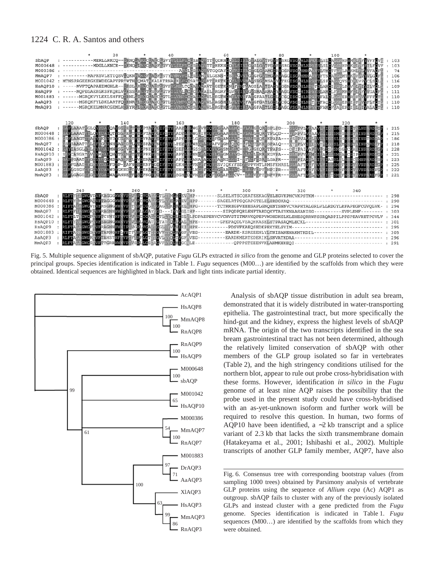|                                                                                                      |                                                                                         | 20                                                       |                                                                                                                                                                                                                                                                                                                                                                                                                                                                                                                                                                                                                                                                                                                                                                                                                                                                                                                                                                                                                                                              | 40                                                 |                                                                                                                                                                                                                                                                   | 80             |        | 100                                                                                                                                                                                                                                                                                     |                                                                                                     |                                                                                    |
|------------------------------------------------------------------------------------------------------|-----------------------------------------------------------------------------------------|----------------------------------------------------------|--------------------------------------------------------------------------------------------------------------------------------------------------------------------------------------------------------------------------------------------------------------------------------------------------------------------------------------------------------------------------------------------------------------------------------------------------------------------------------------------------------------------------------------------------------------------------------------------------------------------------------------------------------------------------------------------------------------------------------------------------------------------------------------------------------------------------------------------------------------------------------------------------------------------------------------------------------------------------------------------------------------------------------------------------------------|----------------------------------------------------|-------------------------------------------------------------------------------------------------------------------------------------------------------------------------------------------------------------------------------------------------------------------|----------------|--------|-----------------------------------------------------------------------------------------------------------------------------------------------------------------------------------------------------------------------------------------------------------------------------------------|-----------------------------------------------------------------------------------------------------|------------------------------------------------------------------------------------|
| SbAQP<br>HsAOP10<br>HsAOP9<br>M001883<br>AaAOP3<br>MmAQP3                                            |                                                                                         |                                                          | : ----------MERLLRKCQ--HRNQUKRCHADCHGVYVLLLLEGSAMWTTRQDKNGQYLSINLGHALGYTFGVFOSFAHLNPRVSLSLCAFERPMVKLEFYVFFOV<br>----- MVFTQAPAEIMGHLR--ERSLEARSCEAETLGVFVDVLLTQEAVAQAVTSGETKENEFIMFLAGSLAVTIALYVGGNVSGAHLNP<br>-----MQPEGAEKGKSFKQRLVEKSSFANETESEFEGTFLLLVLECECKALAILSRGRFGGVELINGESMANAMALYVAGGVSGGHIN<br>------MGRQKVYLEKLSHFFQERNLETRQGLAECLGTLLLVMFGCGAVAQLVLSKGTHOMFLTVNFAFGFAATLGLVCGQTSGGHLN<br>-------MGKQKFYLDKLARTFQMRNRLLRCGLABCLGTLLLNMFCCEAVROVVLSAGSHGLFLTVNFAEGFGATLGLL <mark>VCGQVSGGHLN</mark><br>: ------MGRQKELMNRCGEMLHTRYRELRGALALCLGTLTLVMRGCESLANNVL@RGTHCGEFMINIALGGFALTLGILVAGQVSGAHLN                                                                                                                                                                                                                                                                                                                                                                                                                                              |                                                    |                                                                                                                                                                                                                                                                   |                |        | <b>SLSLCVFGRHPOKELEFTILFOVF</b><br>TLTMCTFWPLANKMLELYVFAOF<br><b>TETNCALCRATIVE UNIVERSE</b><br>TLSFCAREQVSNDELVPYCLSCL<br><b>FSLAMCIVERLPNVKLEINILVCL</b><br>SLAMCLF HEMKAFRLEFYVGAOF<br>TFALCLESRER REFEVEFFFOT<br><b>TETFAOCLEGEEPMINFEVNFLFO</b><br><b>TEAMOFIAREP ISLEIVALACTE</b> |                                                                                                     | 103<br>103<br>74<br>: 106<br>: 116<br>: 109<br>: 111<br>: 110<br>: 110<br>110      |
| SbAOP<br>M000648<br>M000386<br>MmAOP7<br>M001042<br>HsAOP10<br>HsAQP9<br>M001883<br>AaAQP3<br>MmAOP3 | 120                                                                                     | 140                                                      | HELLAAATNGLOMMDELOAMSGEEETWTGPTATEGLISPYHAAYLSLWGHVVDOWNGHAAFHMC-VIATGEORNSPLPD--- SIMPVLWEAAWIVL<br>GARLAAATFALOYYDAIOTYSGGELTFEGPTAFAGIFSTYRADYLSMWGEIVDOV GAAALLLC-VLALGFORWTPLOD---GVRPVLVGAAVLLIG<br>CSFLAAGTI YANYYEA IYDYCGANTVTGVKAT CHIFYY APYLSLLGGIIDO FFGRAMLILC-INALSFOKNKPAPA---ESEPVANGLIVLILC<br>SSESAAATTNLEENGEINHEAGGDLLVTGSKALPNIIFPTYLPEYMIIWRSTLDBAFVTGMLOLG-LFEITEKKNSPALQ---STEPLVIGIHWTVLG<br>GAYIASGLUVLVYYDAIMNESGEVETVYGPNEFASIFRYYSEFLSLGSSELDOWYGTSMTNIC-EIGLGEORNTPAPS---DEIPAIVAVEVECIS<br>SAFCASGATEVENHEALONFTGENLTVTGPKEFASIFATYFAPYLSINNEHLDOVIGFGNLTVG-BLATLERRNKGVPA---GBBPVVVCMFIFALGI<br>GAFVGAATVFGEYYFGLMSEAGGKLLLVGENATEHLFATYFAPYLSLANAEADOVVALMILLLI-WFAIFESRWLGAPR---GLEPIAICLLI VIASSLGLWSGCEMNPARD<br>SAFFGAAIIFGWYDALFDGP-GAFNVSGKNFTGGLFATYFGKHLTUVNSFFDOVISVIQKYFSDVUPPVHTLRMSFEHRSLGL&AFTVGFVVLVIGLSM<br>CAPLGSGVINGLYNDAWNDEGKNDEIWVGEKAPRGLFATYFSNHLMLLNSFFDQ.LGFAALIVC-ELA IVEPYNNPIPR---GLEAFTVGFAV<br>SARLGAGIVEGIYYDA WARANNELFWSGPNGRAGIRATY SGHLDWVNERFDQF1GTAPLLCV--LA VEPYNNPVPR---SLAAFTVGLVV | 160                                                | 180                                                                                                                                                                                                                                                               | 200<br>$\star$ | П<br>п | 220<br><b>SM</b><br><b>TISMESNS</b><br><b>SLCSNSCY</b><br>ISL.<br>SMSGNCGA INPERD<br><b>SMEANCGIPLNPERD</b><br><b>SM</b>                                                                                                                                                                | IINPARD<br><b>NINPTRDEAP</b><br><b>NINPSRDI</b><br><b>EFNSCYAVNPARD</b><br><b>CRNSCY WVNP RDFGP</b> | 215<br>: 215<br>: 186<br>: 218<br>: 228<br>: 221<br>: 223<br>: 225<br>: 222<br>221 |
|                                                                                                      | 240                                                                                     |                                                          | 260                                                                                                                                                                                                                                                                                                                                                                                                                                                                                                                                                                                                                                                                                                                                                                                                                                                                                                                                                                                                                                                          | 280                                                | 300                                                                                                                                                                                                                                                               | $\star$        | 320    | 340                                                                                                                                                                                                                                                                                     |                                                                                                     |                                                                                    |
| SbAOP<br>M000648<br>M000386<br>MmAQP7<br>M001042<br>HsAQP10<br>HsAQP9<br>M001883<br>AaAOP3<br>MmAQP3 | RIFIA<br><b>RLFT</b><br><b>RLFT</b><br><b>RLFT</b><br>RLFTAI<br>RIFTA<br><b>RIJETAI</b> | GWGVDVFKAGGGWWAVP VA PCVCA<br>GWGP VFSAGNGWW VP VAPLVGAT | RLFTY MGWGAEVITAGGGWN VP VE PCVCAINGTL WELATEV HPP-<br>GWGVDVFRSGNGWWWPFTRPFIGG GAG NKIMVEL HPG--<br>GWGK VFRAGNNWN VP VAFLLGAY GG---IVYLGLIHP-<br><b>GWGPEVETCYNYWEWVPLVGBCIGAULGTLEYCHLE</b> SLELPDPAEPERVCVCHVSTITMAVKQPEPVWDHDKGLKLEHESQRRWFSSRQADPILPPSPEAVRETPGVLV<br>GWGF2V5RAGNNFWXIPWVG <mark>PLVGAWLG</mark> GLFYVLVIEIEHPE----------PDSVFKAEQSEDKPEKYELSVIM--------------------------------<br>GNGGEVETARNGMELVPTFELFLGTLFGVVEYOLWGEFFVBG----------BARDK-KSREEENLYLTNISANENAKHTKDIL-------------------------                                                                                                                                                                                                                                                                                                                                                                                                                                                                                                                                      | <b>CTL MIMIEVEHP--</b><br><b>CTAT OLLVAL HPE--</b> | -SLSELHTSCQEATEEKAGVELEGVKPHCVKPSTKM-------------------------<br>-TCTRREGPVEEESAPLGNQENTSNNVCVAPHTALGRLVLLRDGYLRFAPEGFCGVQLVK-<br>-SIPQDPQRLENFTARDQKVTASYKNAASANISG----------SVPLEHF-------<br>------GPEPAQDLVSAQHKASELETPASAQMLECKL---------------------------- |                |        |                                                                                                                                                                                                                                                                                         |                                                                                                     | 298<br>290<br>294<br>303<br>344<br>301<br>295<br>305<br>296                        |

Fig. 5. Multiple sequence alignment of sbAQP, putative *Fugu* GLPs extracted *in silico* from the genome and GLP proteins selected to cover the principal groups. Species identification is indicated in Table 1. *Fugu* sequences (M00...) are identified by the scaffolds from which they were obtained. Identical sequences are highlighted in black. Dark and light tints indicate partial identity.



Analysis of sbAQP tissue distribution in adult sea bream, demonstrated that it is widely distributed in water-transporting epithelia. The gastrointestinal tract, but more specifically the hind-gut and the kidney, express the highest levels of sbAQP mRNA. The origin of the two transcripts identified in the sea bream gastrointestinal tract has not been determined, although the relatively limited conservation of sbAQP with other members of the GLP group isolated so far in vertebrates (Table 2), and the high stringency conditions utilised for the northern blot, appear to rule out probe cross-hybridisation with these forms. However, identification *in silico* in the *Fugu* genome of at least nine AQP raises the possibility that the probe used in the present study could have cross-hybridised with an as-yet-unknown isoform and further work will be required to resolve this question. In human, two forms of AQP10 have been identified, a  $~2$ kb transcript and a splice variant of 2.3 kb that lacks the sixth transmembrane domain (Hatakeyama et al., 2001; Ishibashi et al., 2002). Multiple transcripts of another GLP family member, AQP7, have also

Fig. 6. Consensus tree with corresponding bootstrap values (from sampling 1000 trees) obtained by Parsimony analysis of vertebrate GLP proteins using the sequence of *Allium cepa* (Ac) AQP1 as outgroup. sbAQP fails to cluster with any of the previously isolated GLPs and instead cluster with a gene predicted from the *Fugu* genome. Species identification is indicated in Table 1. *Fugu* sequences (M00…) are identified by the scaffolds from which they were obtained.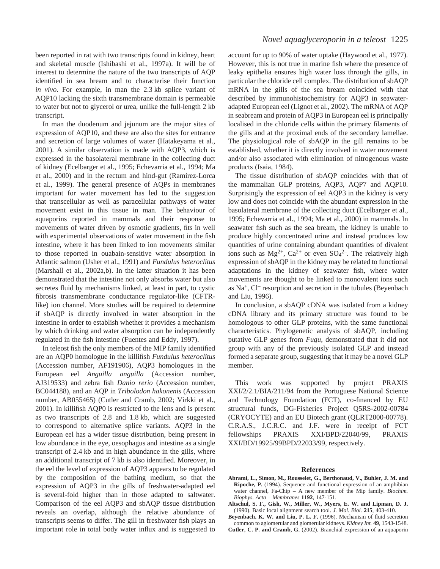been reported in rat with two transcripts found in kidney, heart and skeletal muscle (Ishibashi et al., 1997a). It will be of interest to determine the nature of the two transcripts of AQP identified in sea bream and to characterise their function *in vivo*. For example, in man the 2.3 kb splice variant of AQP10 lacking the sixth transmembrane domain is permeable to water but not to glycerol or urea, unlike the full-length 2 kb transcript.

In man the duodenum and jejunum are the major sites of expression of AQP10, and these are also the sites for entrance and secretion of large volumes of water (Hatakeyama et al., 2001). A similar observation is made with AQP3, which is expressed in the basolateral membrane in the collecting duct of kidney (Ecelbarger et al., 1995; Echevarria et al., 1994; Ma et al., 2000) and in the rectum and hind-gut (Ramirez-Lorca et al., 1999). The general presence of AQPs in membranes important for water movement has led to the suggestion that transcellular as well as paracellular pathways of water movement exist in this tissue in man. The behaviour of aquaporins reported in mammals and their response to movements of water driven by osmotic gradients, fits in well with experimental observations of water movement in the fish intestine, where it has been linked to ion movements similar to those reported in ouabain-sensitive water absorption in Atlantic salmon (Usher et al., 1991) and *Fundulus heteroclitus* (Marshall et al., 2002a,b). In the latter situation it has been demonstrated that the intestine not only absorbs water but also secretes fluid by mechanisms linked, at least in part, to cystic fibrosis transmembrane conductance regulator-like (CFTRlike) ion channel. More studies will be required to determine if sbAQP is directly involved in water absorption in the intestine in order to establish whether it provides a mechanism by which drinking and water absorption can be independently regulated in the fish intestine (Fuentes and Eddy, 1997).

In teleost fish the only members of the MIP family identified are an AQP0 homologue in the killifish *Fundulus heteroclitus* (Accession number, AF191906), AQP3 homologues in the European eel *Anguilla anguilla* (Accession number, AJ319533) and zebra fish *Danio rerio* (Accession number, BC044188), and an AQP in *Tribolodon hakonenis* (Accession number, AB055465) (Cutler and Cramb, 2002; Virkki et al., 2001). In killifish AQP0 is restricted to the lens and is present as two transcripts of 2.8 and 1.8·kb, which are suggested to correspond to alternative splice variants. AQP3 in the European eel has a wider tissue distribution, being present in low abundance in the eye, oesophagus and intestine as a single transcript of 2.4 kb and in high abundance in the gills, where an additional transcript of 7 kb is also identified. Moreover, in the eel the level of expression of AQP3 appears to be regulated by the composition of the bathing medium, so that the expression of AQP3 in the gills of freshwater-adapted eel is several-fold higher than in those adapted to saltwater. Comparison of the eel AQP3 and sbAQP tissue distribution reveals an overlap, although the relative abundance of transcripts seems to differ. The gill in freshwater fish plays an important role in total body water influx and is suggested to

# *Novel aquaglyceroporin in a teleost* 1225

account for up to 90% of water uptake (Haywood et al., 1977). However, this is not true in marine fish where the presence of leaky epithelia ensures high water loss through the gills, in particular the chloride cell complex. The distribution of sbAQP mRNA in the gills of the sea bream coincided with that described by immunohistochemistry for AQP3 in seawateradapted European eel (Lignot et al., 2002). The mRNA of AQP in seabream and protein of AQP3 in European eel is principally localised in the chloride cells within the primary filaments of the gills and at the proximal ends of the secondary lamellae. The physiological role of sbAQP in the gill remains to be established, whether it is directly involved in water movement and/or also associated with elimination of nitrogenous waste products (Isaia, 1984).

The tissue distribution of sbAQP coincides with that of the mammalian GLP proteins, AQP3, AQP7 and AQP10. Surprisingly the expression of eel AQP3 in the kidney is very low and does not coincide with the abundant expression in the basolateral membrane of the collecting duct (Ecelbarger et al., 1995; Echevarria et al., 1994; Ma et al., 2000) in mammals. In seawater fish such as the sea bream, the kidney is unable to produce highly concentrated urine and instead produces low quantities of urine containing abundant quantities of divalent ions such as  $Mg^{2+}$ ,  $Ca^{2+}$  or even  $SO_4^{2-}$ . The relatively high expression of sbAQP in the kidney may be related to functional adaptations in the kidney of seawater fish, where water movements are thought to be linked to monovalent ions such as Na+, Cl– resorption and secretion in the tubules (Beyenbach and Liu, 1996).

In conclusion, a sbAQP cDNA was isolated from a kidney cDNA library and its primary structure was found to be homologous to other GLP proteins, with the same functional characteristics. Phylogenetic analysis of sbAQP, including putative GLP genes from *Fugu*, demonstrated that it did not group with any of the previously isolated GLP and instead formed a separate group, suggesting that it may be a novel GLP member.

This work was supported by project PRAXIS XXI/2/2.1/BIA/211/94 from the Portuguese National Science and Technology Foundation (FCT), co-financed by EU structural funds, DG-Fisheries Project Q5RS-2002-00784 (CRYOCYTE) and an EU Biotech grant (QLRT2000-00778). C.R.A.S., J.C.R.C. and J.F. were in receipt of FCT fellowships PRAXIS XXI/BPD/22040/99, PRAXIS XXI/BD/19925/99BPD/22033/99, respectively.

#### **References**

- **Abrami, L., Simon, M., Rousselet, G., Berthonaud, V., Buhler, J. M. and Ripoche, P.** (1994). Sequence and functional expression of an amphibian water channel, Fa-Chip – A new member of the Mip family. *Biochim. Biophys. Acta – Membranes* **1192**, 147-151.
- **Altschul, S. F., Gish, W., Miller, W., Myers, E. W. and Lipman, D. J.** (1990). Basic local alignment search tool. *J. Mol. Biol.* **215**, 403-410.
- **Beyenbach, K. W. and Liu, P. L. F.** (1996). Mechanism of fluid secretion common to aglomerular and glomerular kidneys. *Kidney Int.* **49**, 1543-1548. **Cutler, C. P. and Cramb, G.** (2002). Branchial expression of an aquaporin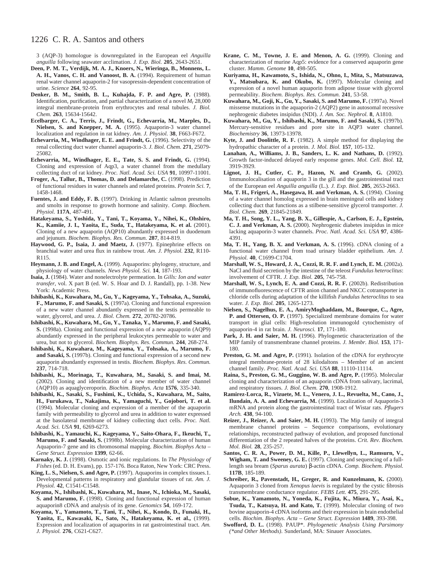3 (AQP-3) homologue is downregulated in the European eel *Anguilla anguilla* following seawater acclimation. *J. Exp. Biol.* **205**, 2643-2651.

- **Deen, P. M. T., Verdijk, M. A. J., Knoers, N., Wieringa, B., Monnens, L. A. H., Vanos, C. H. and Vanoost, B. A.** (1994). Requirement of human renal water channel aquaporin-2 for vasopressin-dependent concentration of urine. *Science* **264**, 92-95.
- **Denker, B. M., Smith, B. L., Kuhajda, F. P. and Agre, P.** (1988). Identification, purification, and partial characterization of a novel *M*r 28,000 integral membrane-protein from erythrocytes and renal tubules. *J. Biol. Chem.* **263**, 15634-15642.
- **Ecelbarger, C. A., Terris, J., Frindt, G., Echevarria, M., Marples, D., Nielsen, S. and Knepper, M. A.** (1995). Aquaporin-3 water channel localization and regulation in rat kidney. *Am. J. Physiol.* **38**, F663-F672.
- **Echevarria, M., Windhager, E. E. and Frindt, G.** (1996). Selectivity of the renal collecting duct water channel aquaporin-3. *J. Biol. Chem.* **271**, 25079- 25082.
- **Echevarria, M., Windhager, E. E., Tate, S. S. and Frindt, G.** (1994). Cloning and expression of Aqp3, a water channel from the medullary collecting duct of rat kidney. *Proc. Natl. Acad. Sci. USA* **91**, 10997-11001.
- **Froger, A., Tallur, B., Thomas, D. and Delamarche, C.** (1998). Prediction of functional residues in water channels and related proteins. *Protein Sci.* **7**, 1458-1468.
- **Fuentes, J. and Eddy, F. B.** (1997). Drinking in Atlantic salmon presmolts and smolts in response to growth hormone and salinity. *Comp. Biochem. Physiol.* **117A**, 487-491.
- **Hatakeyama, S., Yoshida, Y., Tani, T., Koyama, Y., Nihei, K., Ohshiro, K., Kamiie, J. I., Yaoita, E., Suda, T., Hatakeyama, K. et al.** (2001). Cloning of a new aquaporin (AQP10) abundantly expressed in duodenum and jejunum. *Biochem. Biophys. Res. Commun.* **287**, 814-819.
- **Haywood, G. P., Isaia, J. and Maetz, J.** (1977). Epinephrine effects on branchial water and urea flux in rainbow trout. *Am. J. Physiol.* **232**, R110- R115.
- **Heymann, J. B. and Engel, A.** (1999). Aquaporins: phylogeny, structure, and physiology of water channels. *News Physiol. Sci.* **14**, 187-193.
- **Isaia, J.** (1984). Water and nonelectrolyte permeation. In *Gills: Ion and water transfer*, vol. X part B (ed. W. S. Hoar and D. J. Randall), pp. 1-38. New York: Academic Press.
- **Ishibashi, K., Kuwahara, M., Gu, Y., Kageyama, Y., Tohsaka, A., Suzuki, F., Marumo, F. and Sasaki, S.** (1997a). Cloning and functional expression of a new water channel abundantly expressed in the testis permeable to water, glycerol, and urea. *J. Biol. Chem.* **272**, 20782-20786.
- **Ishibashi, K., Kuwahara, M., Gu, Y., Tanaka, Y., Marumo, F. and Sasaki, S.** (1998a). Cloning and functional expression of a new aquaporin (AQP9) abundantly expressed in the peripheral leukocytes permeable to water and urea, but not to glycerol. *Biochem. Biophys. Res. Commun.* **244**, 268-274.
- **Ishibashi, K., Kuwahara, M., Kageyama, Y., Tohsaka, A., Marumo, F. and Sasaki, S.** (1997b). Cloning and functional expression of a second new aquaporin abundantly expressed in testis. *Biochem. Biophys. Res. Commun.* **237**, 714-718.
- **Ishibashi, K., Morinaga, T., Kuwahara, M., Sasaki, S. and Imai, M.** (2002). Cloning and identification of a new member of water channel (AQP10) as aquaglyceroporin. *Biochim. Biophys. Acta* **1576**, 335-340.
- **Ishibashi, K., Sasaki, S., Fushimi, K., Uchida, S., Kuwahara, M., Saito, H., Furukawa, T., Nakajima, K., Yamaguchi, Y., Gojobori, T. et al.** (1994). Molecular cloning and expression of a member of the aquaporin family with permeability to glycerol and urea in addition to water expressed at the basolateral membrane of kidney collecting duct cells. *Proc. Natl. Acad. Sci. USA* **91**, 6269-6273.
- **Ishibashi, K., Yamauchi, K., Kageyama, Y., Saito-Ohara, F., Ikeuchi, T., Marumo, F. and Sasaki, S.** (1998b). Molecular characterization of human Aquaporin-7 gene and its chromosomal mapping. *Biochim. Biophys Acta – Gene Struct. Expression* **1399**, 62-66.
- **Karnaky, K. J.** (1998). Osmotic and ionic regulations. In *The Physiology of Fishes* (ed. D. H. Evans), pp. 157-176. Boca Raton, New York: CRC Press.
- **King, L. S., Nielsen, S. and Agre, P.** (1997). Aquaporins in complex tissues.1. Developmental patterns in respiratory and glandular tissues of rat. *Am. J. Physiol.* **42**, C1541-C1548.
- **Koyama, N., Ishibashi, K., Kuwahara, M., Inase, N., Ichioka, M., Sasaki, S. and Marumo, F.** (1998). Cloning and functional expression of human aquaporin8 cDNA and analysis of its gene. *Genomics* **54**, 169-172.
- **Koyama, Y., Yamamoto, T., Tani, T., Nihei, K., Kondo, D., Funaki, H., Yaoita, E., Kawasaki, K., Sato, N., Hatakeyama, K. et al.,** (1999). Expression and localization of aquaporins in rat gastrointestinal tract. *Am. J. Physiol.* **276**, C621-C627.
- **Krane, C. M., Towne, J. E. and Menon, A. G.** (1999). Cloning and characterization of murine Aqp5: evidence for a conserved aquaporin gene cluster. *Mamm. Genome* **10**, 498-505.
- **Kuriyama, H., Kawamoto, S., Ishida, N., Ohno, I., Mita, S., Matsuzawa, Y., Matsubara, K. and Okubo, K.** (1997). Molecular cloning and expression of a novel human aquaporin from adipose tissue with glycerol permeability. *Biochem. Biophys. Res. Commun.* **241**, 53-58.
- **Kuwahara, M., Goji, K., Gu, Y., Sasaki, S. and Marumo, F.** (1997a). Novel missense mutations in the aquaporin-2 (AQP2) gene in autosomal recessive nephrogenic diabetes insipidus (NDI). *J. Am. Soc. Nephrol.* **8**, A1810.
- **Kuwahara, M., Gu, Y., Ishibashi, K., Marumo, F. and Sasaki, S.** (1997b). Mercury-sensitive residues and pore site in AQP3 water channel. *Biochemistry* **36**, 13973-13978.
- **Kyte, J. and Doolittle, R. F.** (1982). A simple method for displaying the hydropathic character of a protein. *J. Mol. Biol.* **157**, 105-132.
- **Lanahan, A., Williams, J. B., Sanders, L. K. and Nathans, D.** (1992). Growth factor-induced delayed early response genes. *Mol. Cell. Biol.* **12**, 3919-3929.
- **Lignot, J. H., Cutler, C. P., Hazon, N. and Cramb, G.** (2002). Immunolocalisation of aquaporin 3 in the gill and the gastrointestinal tract of the European eel *Anguilla anguilla* (L.). *J. Exp. Biol.* **205**, 2653-2663.
- **Ma, T. H., Frigeri, A., Hasegawa, H. and Verkman, A. S.** (1994). Cloning of a water channel homolog expressed in brain meningeal cells and kidney collecting duct that functions as a stilbene-sensitive glycerol transporter. *J. Biol. Chem.* **269**, 21845-21849.
- **Ma, T. H., Song, Y. L., Yang, B. X., Gillespie, A., Carlson, E. J., Epstein, C. J. and Verkman, A. S.** (2000). Nephrogenic diabetes insipidus in mice lacking aquaporin-3 water channels. *Proc. Natl. Acad. Sci. USA* **97**, 4386- 4391.
- **Ma, T. H., Yang, B. X. and Verkman, A. S.** (1996). cDNA cloning of a functional water channel from toad urinary bladder epithelium. *Am. J. Physiol.* **40**, C1699-C1704.
- **Marshall, W. S., Howard, J. A., Cozzi, R. R. F. and Lynch, E. M.** (2002a). NaCl and fluid secretion by the intestine of the teleost *Fundulus heteroclitus*: involvement of CFTR. *J. Exp. Biol.* **205**, 745-758.
- **Marshall, W. S., Lynch, E. A. and Cozzi, R. R. F.** (2002b). Redistribution of immunofluorescence of CFTR anion channel and NKCC cotransporter in chloride cells during adaptation of the killifish *Fundulus heteroclitus* to sea water. *J. Exp. Biol.* **205**, 1265-1273.
- **Nielsen, S., Nagelhus, E. A., AmiryMoghaddam, M., Bourque, C., Agre, P. and Ottersen, O. P.** (1997). Specialized membrane domains for water transport in glial cells: High-resolution immunogold cytochemistry of aquaporin-4 in rat brain. *J. Neurosci.* **17**, 171-180.
- Park, J. H. and Saier, M. H. (1996). Phylogenetic characterization of the MIP family of transmembrane channel proteins. *J. Membr. Biol.* **153**, 171- 180.
- Preston, G. M. and Agre, P. (1991). Isolation of the cDNA for erythrocyte integral membrane-protein of 28 kilodaltons – Member of an ancient channel family. *Proc. Natl. Acad. Sci. USA* **88**, 11110-11114.
- **Raina, S., Preston, G. M., Guggino, W. B. and Agre, P.** (1995). Molecular cloning and characterization of an aquaporin cDNA from salivary, lacrimal, and respiratory tissues. *J. Biol. Chem.* **270**, 1908-1912.
- **Ramirez-Lorca, R., Vizuete, M. L., Venero, J. L., Revuelta, M., Cano, J., Ilundain, A. A. and Echevarria, M.** (1999). Localization of Aquaporin-3 mRNA and protein along the gastrointestinal tract of Wistar rats. *Pflugers Arch.* **438**, 94-100.
- **Reizer, J., Reizer, A. and Saier, M. H.** (1993). The Mip family of integral membrane channel proteins – Sequence comparisons, evolutionary relationships, reconstructed pathway of evolution, and proposed functional differentiation of the 2 repeated halves of the proteins. *Crit. Rev. Biochem. Mol. Biol.* **28**, 235-257.
- **Santos, C. R. A., Power, D. M., Kille, P., Llewellyn, L., Ramsurn, V., Wigham, T. and Sweeney, G. E.** (1997). Cloning and sequencing of a fulllength sea bream (*Sparus aurata*) β-actin cDNA. *Comp. Biochem. Physiol.* **117B**, 185-189.
- **Schreiber, R., Pavenstadt, H., Greger, R. and Kunzelmann, K.** (2000). Aquaporin 3 cloned from *Xenopus laevis* is regulated by the cystic fibrosis transmembrane conductance regulator. *FEBS Lett.* **475**, 291-295.
- **Sobue, K., Yamamoto, N., Yoneda, K., Fujita, K., Miura, Y., Asai, K., Tsuda, T., Katsuya, H. and Kato, T.** (1999). Molecular cloning of two bovine aquaporin-4 cDNA isoforms and their expression in brain endothelial cells. *Biochim. Biophys. Acta – Gene Struct. Expression* **1489**, 393-398.
- **Swofford, D. L.** (1998). PAUP\*. *Phylogenetic Analysis Using Parsimony (\*and Other Methods)*. Sunderland, MA: Sinauer Associates.